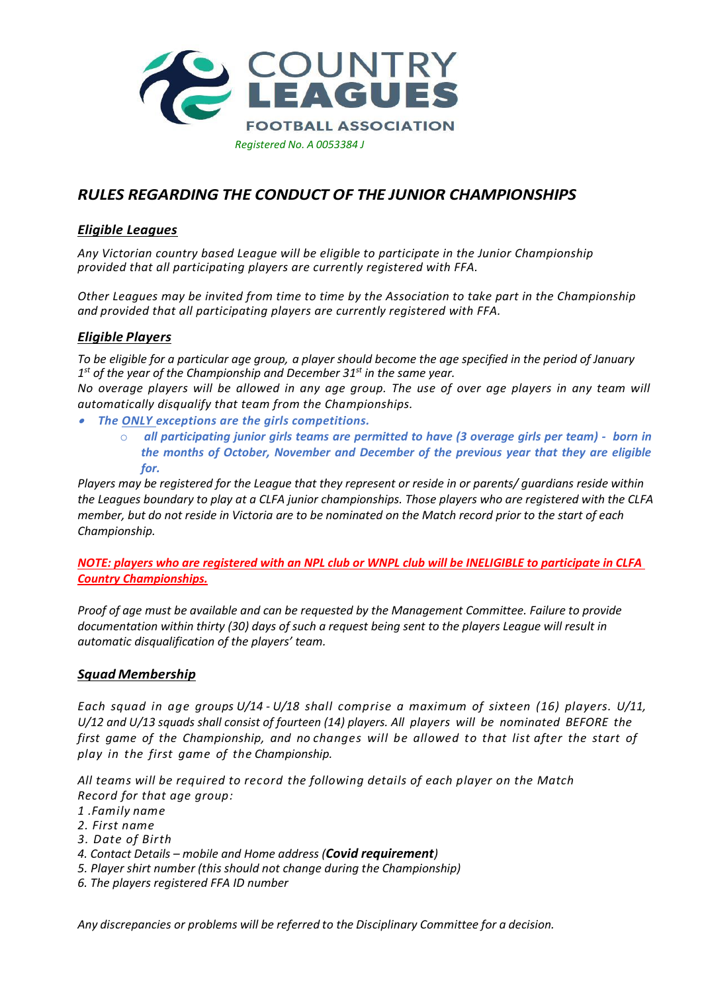

# *RULES REGARDING THE CONDUCT OF THE JUNIOR CHAMPIONSHIPS*

## *Eligible Leagues*

*Any Victorian country based League will be eligible to participate in the Junior Championship provided that all participating players are currently registered with FFA.*

*Other Leagues may be invited from time to time by the Association to take part in the Championship and provided that all participating players are currently registered with FFA.*

## *Eligible Players*

*To be eligible for a particular age group, a player should become the age specified in the period of January 1 st of the year of the Championship and December 31st in the same year.*

*No overage players will be allowed in any age group. The use of over age players in any team will automatically disqualify that team from the Championships.*

- *The ONLY exceptions are the girls competitions.*
	- o *all participating junior girls teams are permitted to have (3 overage girls per team) born in the months of October, November and December of the previous year that they are eligible for.*

*Players may be registered for the League that they represent or reside in or parents/ guardians reside within the Leagues boundary to play at a CLFA junior championships. Those players who are registered with the CLFA member, but do not reside in Victoria are to be nominated on the Match record prior to the start of each Championship.* 

*NOTE: players who are registered with an NPL club or WNPL club will be INELIGIBLE to participate in CLFA Country Championships.*

*Proof of age must be available and can be requested by the Management Committee. Failure to provide documentation within thirty (30) days of such a request being sent to the players League will result in automatic disqualification of the players' team.*

### *Squad Membership*

*Each squad in age groups U/14 - U/18 shall comprise a maximum of sixteen (16) players. U/11, U/12 and U/13 squads shall consist of fourteen (14) players. All players will be nominated BEFORE the first game of the Championship, and no changes will be allowed to that list after the start of play in the first game of the Championship.*

*All teams will be required to record the following details of each player on the Match Record for that age group:*

- *1 .Family name*
- *2. First name*
- *3. Date of Birth*
- *4. Contact Details – mobile and Home address (Covid requirement)*
- *5. Player shirt number (this should not change during the Championship)*
- *6. The players registered FFA ID number*

*Any discrepancies or problems will be referred to the Disciplinary Committee for a decision.*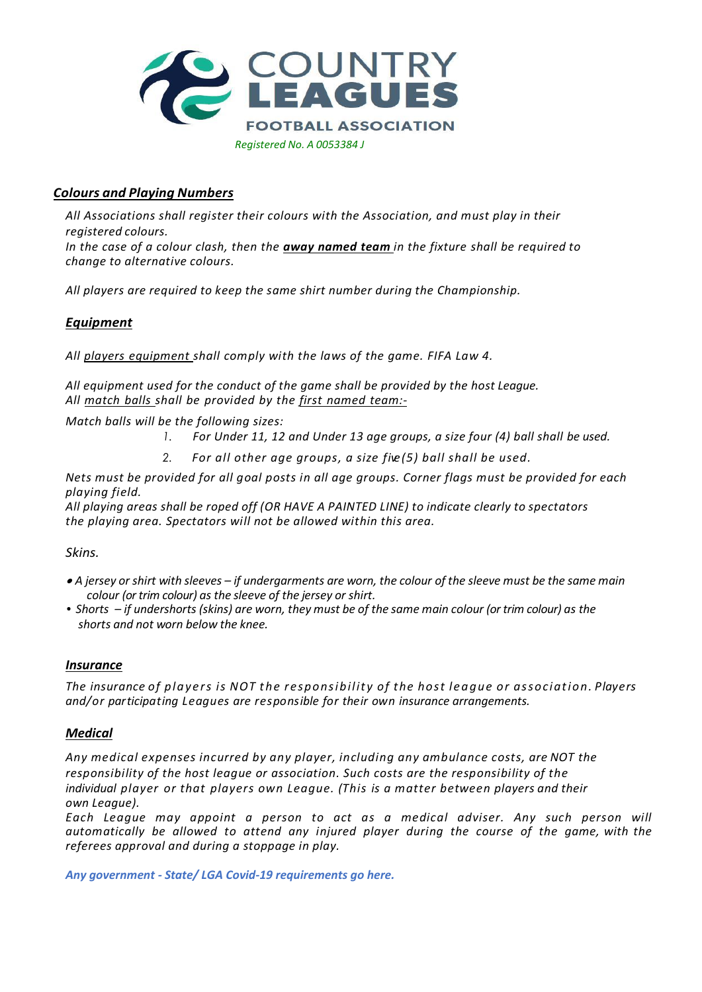

## *Colours and Playing Numbers*

*All Associations shall register their colours with the Association, and must play in their registered colours.*

*In the case of a colour clash, then the away named team in the fixture shall be required to change to alternative colours.*

*All players are required to keep the same shirt number during the Championship.*

### *Equipment*

*All players equipment shall comply with the laws of the game. FIFA Law 4.*

*All equipment used for the conduct of the game shall be provided by the host League. All match balls shall be provided by the first named team:-*

*Match balls will be the following sizes:*

- *1. For Under 11, 12 and Under 13 age groups, a size four (4) ball shall be used.*
- *2. For all other age groups, a size five(5) ball shall be used.*

Nets must be provided for all goal posts in all age groups. Corner flags must be provided for each *playing field.*

*All playing areas shall be roped off (OR HAVE A PAINTED LINE) to indicate clearly to spectators the playing area. Spectators will not be allowed within this area.*

*Skins.*

- $\bullet$  A jersey or shirt with sleeves if undergarments are worn, the colour of the sleeve must be the same main *colour (or trim colour) as the sleeve of the jersey or shirt.*
- Shorts if undershorts (skins) are worn, they must be of the same main colour (or trim colour) as the  *shorts and not worn below the knee.*

### *Insurance*

*The insurance of p l a y e r s is NOT t h e r espons ib ilit y of the host l e a g ue or assoc iat io n. Players and/or participating Leagues are responsible for their own insurance arrangements.*

### *Medical*

*Any medical expenses incurred by any player, including any ambulance costs, are NOT the responsibility of the host league or association. Such costs are the responsibility of the individual player or that players own League. (This is a matter between players and their own League).*

*Each League may appoint a person to act as a medical adviser. Any such person will automatically be allowed to attend any injured player during the course of the game, with the referees approval and during a stoppage in play.*

*Any government - State/ LGA Covid-19 requirements go here.*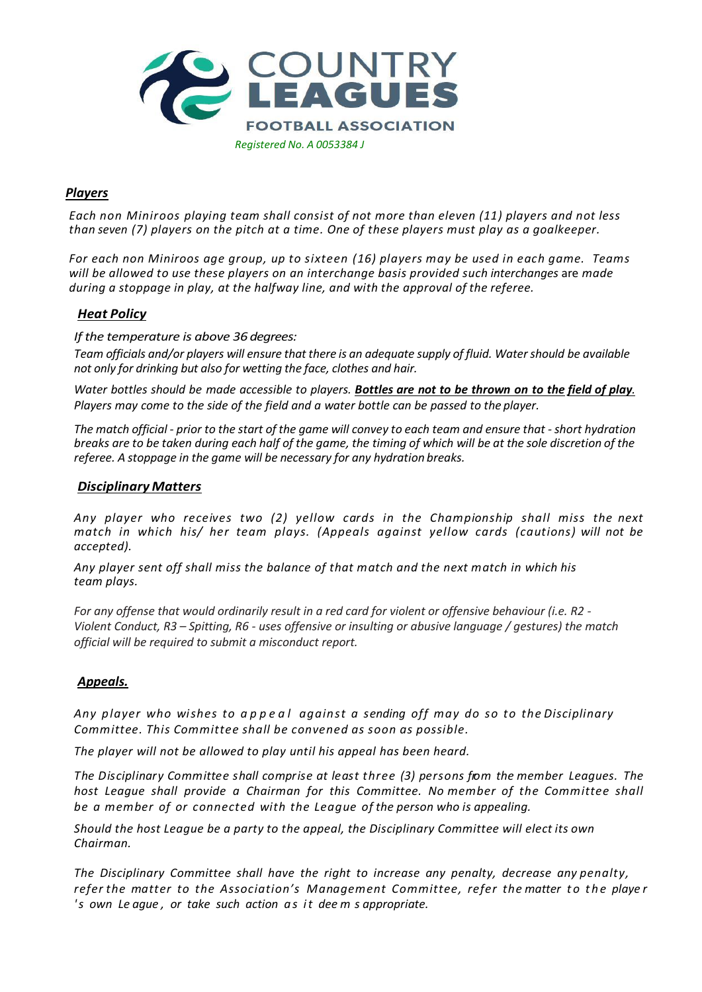

## *Players*

*Each non Miniroos playing team shall consist of not more than eleven (11) players and not less than seven (7) players on the pitch at a time. One of these players must play as a goalkeeper.* 

*For each non Miniroos age group, up to sixteen (16) players may be used in each game. Teams will be allowed to use these players on an interchange basis provided such interchanges* are *made during a stoppage in play, at the halfway line, and with the approval of the referee.*

## *Heat Policy*

*If the temperature is above 36 degrees:*

Team officials and/or players will ensure that there is an adequate supply of fluid. Water should be available *not only for drinking but also for wetting the face, clothes and hair.*

Water bottles should be made accessible to players. Bottles are not to be thrown on to the field of play. *Players may come to the side of the field and a water bottle can be passed to the player.*

The match official - prior to the start of the game will convey to each team and ensure that - short hydration breaks are to be taken during each half of the game, the timing of which will be at the sole discretion of the *referee. A stoppage in the game will be necessary for any hydration breaks.*

### *Disciplinary Matters*

*Any player who receives two (2) yellow cards in the Championship shall miss the next match in which his/ her team plays. (Appeals against yellow cards (cautions) will not be accepted).*

*Any player sent off shall miss the balance of that match and the next match in which his team plays.*

*For any offense that would ordinarily result in a red card for violent or offensive behaviour (i.e. R2 - Violent Conduct, R3 – Spitting, R6 - uses offensive or insulting or abusive language / gestures) the match official will be required to submit a misconduct report.*

### *Appeals.*

*Any player who wishes to a p p e a l against a sending off may do so to the Disciplinary Committee. This Committee shall be convened as soon as possible.*

*The player will not be allowed to play until his appeal has been heard.*

*The Disciplinary Committee shall comprise at least three (3) persons from the member Leagues. The host League shall provide a Chairman for this Committee. No member of the Committee shall be a member of or connected with the League of the person who is appealing.*

*Should the host League be a party to the appeal, the Disciplinary Committee will elect its own Chairman.*

*The Disciplinary Committee shall have the right to increase any penalty, decrease any penalty, refer the matter to the Association's Management Committee, refer the matter t o t he playe r 's own Le ague , or take such action a s it dee m s appropriate.*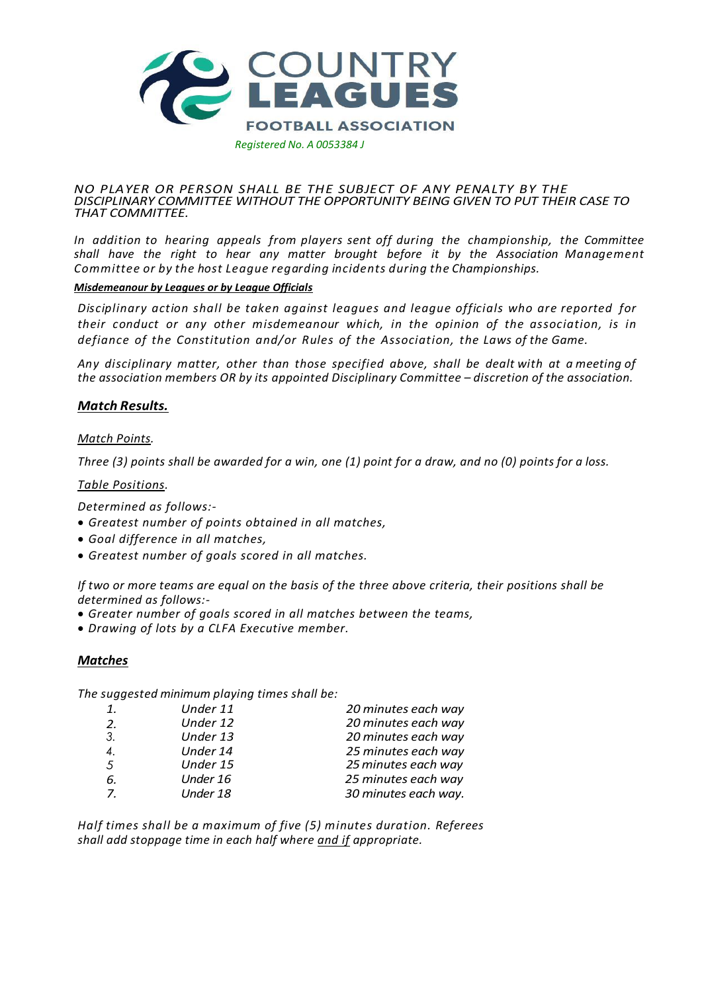

#### *NO PLAYER OR PERSON SHALL BE THE SUBJECT OF ANY PENALTY BY THE DISCIPLINARY COMMITTEE WITHOUT THE OPPORTUNITY BEING GIVEN TO PUT THEIR CASE TO THAT COMMITTEE.*

*In addition to hearing appeals from players sent off during the championship, the Committee shall have the right to hear any matter brought before it by the Association Management Committee or by the host League regarding incidents during the Championships.*

### *Misdemeanour by Leagues or by League Officials*

*Disciplinary action shall be taken against leagues and league officials who are reported for their conduct or any other misdemeanour which, in the opinion of the association, is in defiance of the Constitution and/or Rules of the Association, the Laws of the Game.*

*Any disciplinary matter, other than those specified above, shall be dealt with at a meeting of the association members OR by its appointed Disciplinary Committee – discretion of the association.*

### *Match Results.*

### *Match Points.*

Three (3) points shall be awarded for a win, one (1) point for a draw, and no (0) points for a loss.

*Table Positions.*

*Determined as follows:-*

- *Greatest number of points obtained in all matches,*
- *Goal difference in all matches,*
- *Greatest number of goals scored in all matches.*

*If two or more teams are equal on the basis of the three above criteria, their positions shall be determined as follows:-*

- *Greater number of goals scored in all matches between the teams,*
- *Drawing of lots by a CLFA Executive member.*

### *Matches*

*The suggested minimum playing times shall be:*

| 1. | Under 11 | 20 minutes each way  |
|----|----------|----------------------|
| 2. | Under 12 | 20 minutes each way  |
| 3. | Under 13 | 20 minutes each way  |
| 4. | Under 14 | 25 minutes each way  |
| 5  | Under 15 | 25 minutes each way  |
| 6. | Under 16 | 25 minutes each way  |
| 7. | Under 18 | 30 minutes each way. |
|    |          |                      |

*Half times shall be a maximum of five (5) minutes duration. Referees shall add stoppage time in each half where and if appropriate.*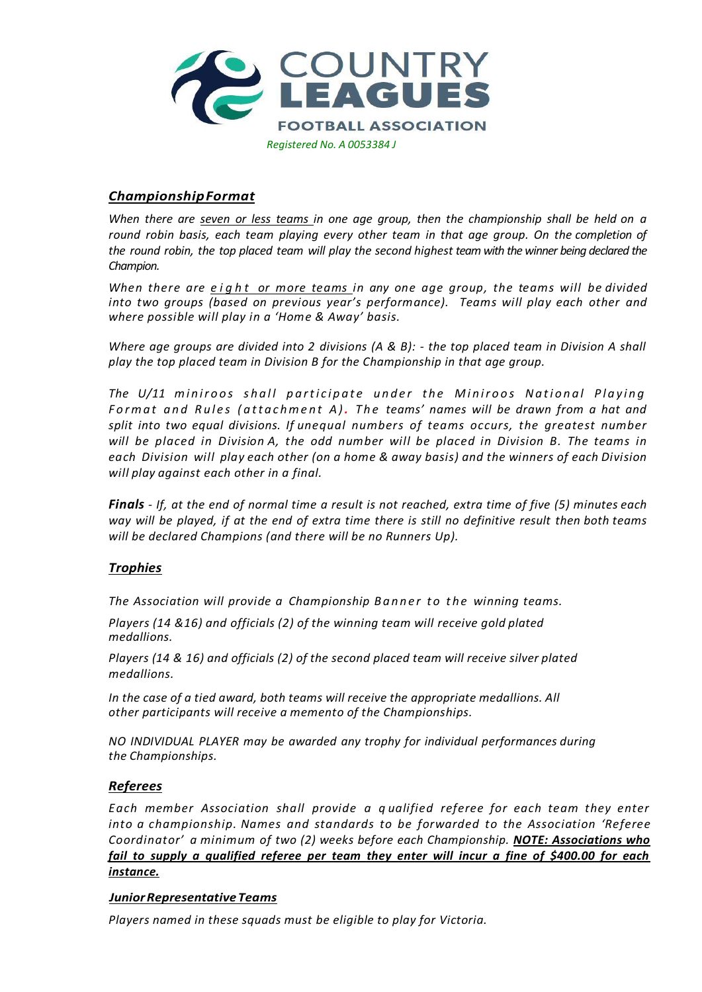

## *ChampionshipFormat*

When there are seven or less teams in one age group, then the championship shall be held on a *round robin basis, each team playing every other team in that age group. On the completion of the round robin, the top placed team will play the second highest team with the winner being declared the Champion.*

*When there are e i g h t or more teams in any one age group, the teams will be divided into two groups (based on previous year's performance). Teams will play each other and where possible will play in a 'Home & Away' basis.*

*Where age groups are divided into 2 divisions (A & B): - the top placed team in Division A shall play the top placed team in Division B for the Championship in that age group.*

*The U/11 miniroos shall participate under the Miniroos National Playing F o r m a t a n d R u l e s ( a t t a c h m e n t A ) . T h e teams' names will be drawn from a hat and split into two equal divisions. If unequal numbers of teams occurs, the greatest number will be placed in Division A, the odd number will be placed in Division B. The teams in each Division will play each other (on a home & away basis) and the winners of each Division will play against each other in a final.*

**Finals** - If, at the end of normal time a result is not reached, extra time of five (5) minutes each way will be played, if at the end of extra time there is still no definitive result then both teams *will be declared Champions (and there will be no Runners Up).*

### *Trophies*

*The Association will provide a Championship B a n n e r t o t h e winning teams.*

*Players (14 &16) and officials (2) of the winning team will receive gold plated medallions.*

*Players (14 & 16) and officials (2) of the second placed team will receive silver plated medallions.*

*In the case of a tied award, both teams will receive the appropriate medallions. All other participants will receive a memento of the Championships.*

*NO INDIVIDUAL PLAYER may be awarded any trophy for individual performances during the Championships.*

### *Referees*

*Each member Association shall provide a q ualified referee for each team they enter into a championship. Names and standards to be forwarded to the Association 'Referee Coordinator' a minimum of two (2) weeks before each Championship. NOTE: Associations who fail to supply a qualified referee per team they enter will incur a fine of \$400.00 for each instance.*

### *JuniorRepresentativeTeams*

*Players named in these squads must be eligible to play for Victoria.*